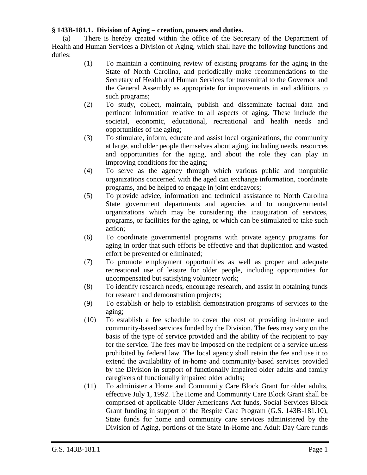## **§ 143B-181.1. Division of Aging – creation, powers and duties.**

(a) There is hereby created within the office of the Secretary of the Department of Health and Human Services a Division of Aging, which shall have the following functions and duties:

- (1) To maintain a continuing review of existing programs for the aging in the State of North Carolina, and periodically make recommendations to the Secretary of Health and Human Services for transmittal to the Governor and the General Assembly as appropriate for improvements in and additions to such programs;
- (2) To study, collect, maintain, publish and disseminate factual data and pertinent information relative to all aspects of aging. These include the societal, economic, educational, recreational and health needs and opportunities of the aging;
- (3) To stimulate, inform, educate and assist local organizations, the community at large, and older people themselves about aging, including needs, resources and opportunities for the aging, and about the role they can play in improving conditions for the aging;
- (4) To serve as the agency through which various public and nonpublic organizations concerned with the aged can exchange information, coordinate programs, and be helped to engage in joint endeavors;
- (5) To provide advice, information and technical assistance to North Carolina State government departments and agencies and to nongovernmental organizations which may be considering the inauguration of services, programs, or facilities for the aging, or which can be stimulated to take such action;
- (6) To coordinate governmental programs with private agency programs for aging in order that such efforts be effective and that duplication and wasted effort be prevented or eliminated;
- (7) To promote employment opportunities as well as proper and adequate recreational use of leisure for older people, including opportunities for uncompensated but satisfying volunteer work;
- (8) To identify research needs, encourage research, and assist in obtaining funds for research and demonstration projects;
- (9) To establish or help to establish demonstration programs of services to the aging;
- (10) To establish a fee schedule to cover the cost of providing in-home and community-based services funded by the Division. The fees may vary on the basis of the type of service provided and the ability of the recipient to pay for the service. The fees may be imposed on the recipient of a service unless prohibited by federal law. The local agency shall retain the fee and use it to extend the availability of in-home and community-based services provided by the Division in support of functionally impaired older adults and family caregivers of functionally impaired older adults;
- (11) To administer a Home and Community Care Block Grant for older adults, effective July 1, 1992. The Home and Community Care Block Grant shall be comprised of applicable Older Americans Act funds, Social Services Block Grant funding in support of the Respite Care Program (G.S. 143B-181.10), State funds for home and community care services administered by the Division of Aging, portions of the State In-Home and Adult Day Care funds